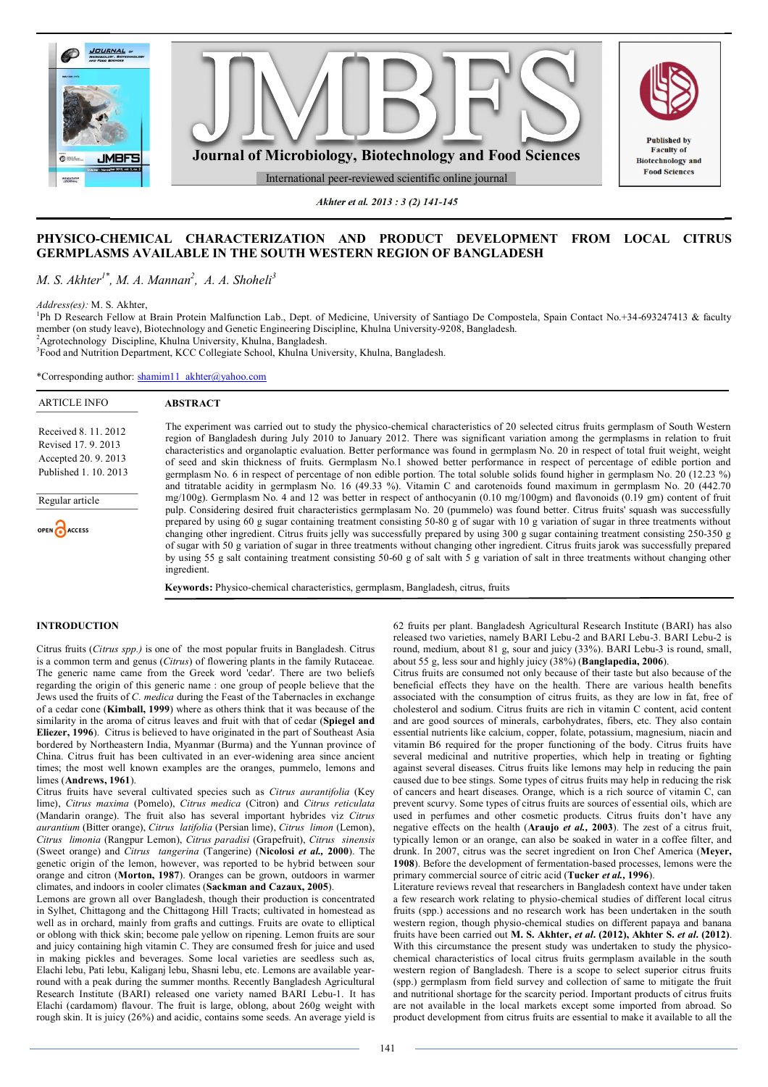

*Akhter et al. 2013 : 3 (2) 141-145*

# **PHYSICO-CHEMICAL CHARACTERIZATION AND PRODUCT DEVELOPMENT FROM LOCAL CITRUS GERMPLASMS AVAILABLE IN THE SOUTH WESTERN REGION OF BANGLADESH**

*M. S. Akhter1\*, M. A. Mannan<sup>2</sup> , A. A. Shoheli<sup>3</sup>*

*Address(es):* M. S. Akhter,

<sup>1</sup>Ph D Research Fellow at Brain Protein Malfunction Lab., Dept. of Medicine, University of Santiago De Compostela, Spain Contact No.+34-693247413 & faculty member (on study leave), Biotechnology and Genetic Engineering Discipline, Khulna University-9208, Bangladesh.

<sup>2</sup>Agrotechnology Discipline, Khulna University, Khulna, Bangladesh.

<sup>3</sup>Food and Nutrition Department, KCC Collegiate School, Khulna University, Khulna, Bangladesh.

\*Corresponding author: shamim11\_akhter@yahoo.com

#### **ABSTRACT** ARTICLE INFO

| Received 8, 11, 2012  |
|-----------------------|
| Revised 17, 9, 2013   |
| Accepted 20, 9, 2013  |
| Published 1, 10, 2013 |

Regular article

OPEN CACCESS

The experiment was carried out to study the physico-chemical characteristics of 20 selected citrus fruits germplasm of South Western region of Bangladesh during July 2010 to January 2012. There was significant variation among the germplasms in relation to fruit characteristics and organolaptic evaluation. Better performance was found in germplasm No. 20 in respect of total fruit weight, weight of seed and skin thickness of fruits. Germplasm No.1 showed better performance in respect of percentage of edible portion and germplasm No. 6 in respect of percentage of non edible portion. The total soluble solids found higher in germplasm No. 20 (12.23 %) and titratable acidity in germplasm No. 16 (49.33 %). Vitamin C and carotenoids found maximum in germplasm No. 20 (442.70 mg/100g). Germplasm No. 4 and 12 was better in respect of anthocyanin (0.10 mg/100gm) and flavonoids (0.19 gm) content of fruit pulp. Considering desired fruit characteristics germplasam No. 20 (pummelo) was found better. Citrus fruits' squash was successfully prepared by using 60 g sugar containing treatment consisting 50-80 g of sugar with 10 g variation of sugar in three treatments without changing other ingredient. Citrus fruits jelly was successfully prepared by using 300 g sugar containing treatment consisting 250-350 g of sugar with 50 g variation of sugar in three treatments without changing other ingredient. Citrus fruits jarok was successfully prepared by using 55 g salt containing treatment consisting 50-60 g of salt with 5 g variation of salt in three treatments without changing other ingredient.

**Keywords:** Physico-chemical characteristics, germplasm, Bangladesh, citrus, fruits

### **INTRODUCTION**

Citrus fruits (*Citrus spp.)* is one of the most popular fruits in Bangladesh. Citrus is a common term and genus (*Citrus*) of flowering plants in the family Rutaceae. The generic name came from the Greek word 'cedar'. There are two beliefs regarding the origin of this generic name : one group of people believe that the Jews used the fruits of *C. medica* during the Feast of the Tabernacles in exchange of a cedar cone (**Kimball, 1999**) where as others think that it was because of the similarity in the aroma of citrus leaves and fruit with that of cedar (**Spiegel and Eliezer, 1996**). Citrus is believed to have originated in the part of Southeast Asia bordered by Northeastern India, Myanmar (Burma) and the Yunnan province of China. Citrus fruit has been cultivated in an ever-widening area since ancient times; the most well known examples are the oranges, pummelo, lemons and limes (**Andrews, 1961**).

Citrus fruits have several cultivated species such as *Citrus aurantifolia* (Key lime), *Citrus maxima* (Pomelo), *Citrus medica* (Citron) and *Citrus reticulata* (Mandarin orange). The fruit also has several important hybrides viz *Citrus aurantium* (Bitter orange), *Citrus latifolia* (Persian lime), *Citrus limon* (Lemon), *Citrus limonia* (Rangpur Lemon), *Citrus paradisi* (Grapefruit), *Citrus sinensis* (Sweet orange) and *Citrus tangerina* (Tangerine) (**Nicolosi** *et al.,* **2000**). The genetic origin of the lemon, however, was reported to be hybrid between sour orange and citron (**Morton, 1987**). Oranges can be grown, outdoors in warmer climates, and indoors in cooler climates (**Sackman and Cazaux, 2005**).

Lemons are grown all over Bangladesh, though their production is concentrated in Sylhet, Chittagong and the Chittagong Hill Tracts; cultivated in homestead as well as in orchard, mainly from grafts and cuttings. Fruits are ovate to elliptical or oblong with thick skin; become pale yellow on ripening. Lemon fruits are sour and juicy containing high vitamin C. They are consumed fresh for juice and used in making pickles and beverages. Some local varieties are seedless such as, Elachi lebu, Pati lebu, Kaliganj lebu, Shasni lebu, etc. Lemons are available yearround with a peak during the summer months. Recently Bangladesh Agricultural Research Institute (BARI) released one variety named BARI Lebu-1. It has Elachi (cardamom) flavour. The fruit is large, oblong, about 260g weight with rough skin. It is juicy (26%) and acidic, contains some seeds. An average yield is

62 fruits per plant. Bangladesh Agricultural Research Institute (BARI) has also released two varieties, namely BARI Lebu-2 and BARI Lebu-3. BARI Lebu-2 is round, medium, about 81 g, sour and juicy (33%). BARI Lebu-3 is round, small, about 55 g, less sour and highly juicy (38%) (**Banglapedia, 2006**).

Citrus fruits are consumed not only because of their taste but also because of the beneficial effects they have on the health. There are various health benefits associated with the consumption of citrus fruits, as they are low in fat, free of cholesterol and sodium. Citrus fruits are rich in vitamin C content, acid content and are good sources of minerals, carbohydrates, fibers, etc. They also contain essential nutrients like calcium, copper, folate, potassium, magnesium, niacin and vitamin B6 required for the proper functioning of the body. Citrus fruits have several medicinal and nutritive properties, which help in treating or fighting against several diseases. Citrus fruits like lemons may help in reducing the pain caused due to bee stings. Some types of citrus fruits may help in reducing the risk of cancers and heart diseases. Orange, which is a rich source of vitamin C, can prevent scurvy. Some types of citrus fruits are sources of essential oils, which are used in perfumes and other cosmetic products. Citrus fruits don't have any negative effects on the health (**Araujo** *et al.,* **2003**). The zest of a citrus fruit, typically lemon or an orange, can also be soaked in water in a coffee filter, and drunk. In 2007, citrus was the secret ingredient on Iron Chef America (**Meyer, 1908**). Before the development of fermentation-based processes, lemons were the primary commercial source of citric acid (**Tucker** *et al.,* **1996**).

Literature reviews reveal that researchers in Bangladesh context have under taken a few research work relating to physio-chemical studies of different local citrus fruits (spp.) accessions and no research work has been undertaken in the south western region, though physio-chemical studies on different papaya and banana fruits have been carried out **M. S. Akhter,** *et al***. (2012), Akhter S.** *et al***. (2012)**. With this circumstance the present study was undertaken to study the physicochemical characteristics of local citrus fruits germplasm available in the south western region of Bangladesh. There is a scope to select superior citrus fruits (spp.) germplasm from field survey and collection of same to mitigate the fruit and nutritional shortage for the scarcity period. Important products of citrus fruits are not available in the local markets except some imported from abroad. So product development from citrus fruits are essential to make it available to all the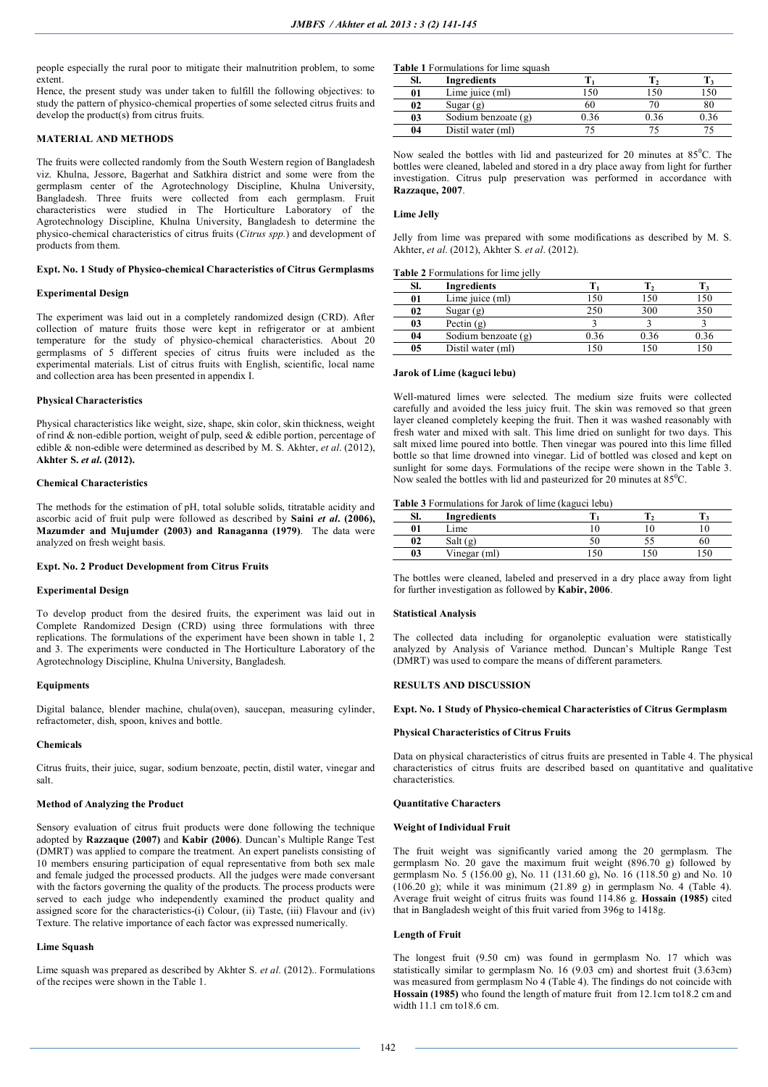people especially the rural poor to mitigate their malnutrition problem, to some extent.

Hence, the present study was under taken to fulfill the following objectives: to study the pattern of physico-chemical properties of some selected citrus fruits and develop the product(s) from citrus fruits.

# **MATERIAL AND METHODS**

The fruits were collected randomly from the South Western region of Bangladesh viz. Khulna, Jessore, Bagerhat and Satkhira district and some were from the germplasm center of the Agrotechnology Discipline, Khulna University, Bangladesh. Three fruits were collected from each germplasm. Fruit characteristics were studied in The Horticulture Laboratory of the Agrotechnology Discipline, Khulna University, Bangladesh to determine the physico-chemical characteristics of citrus fruits (*Citrus spp.*) and development of products from them.

### **Expt. No. 1 Study of Physico-chemical Characteristics of Citrus Germplasms**

### **Experimental Design**

The experiment was laid out in a completely randomized design (CRD). After collection of mature fruits those were kept in refrigerator or at ambient temperature for the study of physico-chemical characteristics. About 20 germplasms of 5 different species of citrus fruits were included as the experimental materials. List of citrus fruits with English, scientific, local name and collection area has been presented in appendix I.

### **Physical Characteristics**

Physical characteristics like weight, size, shape, skin color, skin thickness, weight of rind & non-edible portion, weight of pulp, seed & edible portion, percentage of edible & non-edible were determined as described by M. S. Akhter, *et al*. (2012), **Akhter S.** *et al***. (2012).**

### **Chemical Characteristics**

The methods for the estimation of pH, total soluble solids, titratable acidity and ascorbic acid of fruit pulp were followed as described by **Saini** *et al***. (2006), Mazumder and Mujumder (2003) and Ranaganna (1979)**. The data were analyzed on fresh weight basis.

#### **Expt. No. 2 Product Development from Citrus Fruits**

### **Experimental Design**

To develop product from the desired fruits, the experiment was laid out in Complete Randomized Design (CRD) using three formulations with three replications. The formulations of the experiment have been shown in table 1, 2 and 3. The experiments were conducted in The Horticulture Laboratory of the Agrotechnology Discipline, Khulna University, Bangladesh.

### **Equipments**

Digital balance, blender machine, chula(oven), saucepan, measuring cylinder, refractometer, dish, spoon, knives and bottle.

#### **Chemicals**

Citrus fruits, their juice, sugar, sodium benzoate, pectin, distil water, vinegar and salt.

### **Method of Analyzing the Product**

Sensory evaluation of citrus fruit products were done following the technique adopted by **Razzaque (2007)** and **Kabir (2006)**. Duncan's Multiple Range Test (DMRT) was applied to compare the treatment. An expert panelists consisting of 10 members ensuring participation of equal representative from both sex male and female judged the processed products. All the judges were made conversant with the factors governing the quality of the products. The process products were served to each judge who independently examined the product quality and assigned score for the characteristics-(i) Colour, (ii) Taste, (iii) Flavour and (iv) Texture. The relative importance of each factor was expressed numerically.

### **Lime Squash**

Lime squash was prepared as described by Akhter S. *et al*. (2012).. Formulations of the recipes were shown in the Table 1.

**Table 1** Formulations for lime squash

| SI. | Ingredients         |  |  |
|-----|---------------------|--|--|
| 01  | Lime juice (ml)     |  |  |
| 02  | Sugar $(g)$         |  |  |
| 03  | Sodium benzoate (g) |  |  |
| 04  | Distil water (ml)   |  |  |

Now sealed the bottles with lid and pasteurized for 20 minutes at  $85^{\circ}$ C. The bottles were cleaned, labeled and stored in a dry place away from light for further investigation. Citrus pulp preservation was performed in accordance with **Razzaque, 2007**.

### **Lime Jelly**

Jelly from lime was prepared with some modifications as described by M. S. Akhter, *et al*. (2012), Akhter S. *et al*. (2012).

### **Table 2** Formulations for lime jelly

| SI. | Ingredients         |      |      |      |
|-----|---------------------|------|------|------|
| 01  | Lime juice (ml)     | 150  | 150  |      |
| 02  | Sugar $(g)$         | 250  | 300  | 350  |
| 03  | Pectin $(g)$        |      |      |      |
| 04  | Sodium benzoate (g) | 0 36 | 0.36 | 0.36 |
| 05  | Distil water (ml)   |      |      |      |

## **Jarok of Lime (kaguci lebu)**

Well-matured limes were selected. The medium size fruits were collected carefully and avoided the less juicy fruit. The skin was removed so that green layer cleaned completely keeping the fruit. Then it was washed reasonably with fresh water and mixed with salt. This lime dried on sunlight for two days. This salt mixed lime poured into bottle. Then vinegar was poured into this lime filled bottle so that lime drowned into vinegar. Lid of bottled was closed and kept on sunlight for some days. Formulations of the recipe were shown in the Table 3. Now sealed the bottles with lid and pasteurized for 20 minutes at  $85^{\circ}$ C.

### **Table 3** Formulations for Jarok of lime (kaguci lebu)

| SI.              | <b>Ingredients</b> |     |    |   |
|------------------|--------------------|-----|----|---|
| $\boldsymbol{0}$ | <sub>-ime</sub>    |     |    |   |
| 02               | Salt $(g)$         |     | ັ້ | ы |
| 03               | Vinegar (ml)       | 150 |    |   |

The bottles were cleaned, labeled and preserved in a dry place away from light for further investigation as followed by **Kabir, 2006**.

#### **Statistical Analysis**

The collected data including for organoleptic evaluation were statistically analyzed by Analysis of Variance method. Duncan's Multiple Range Test (DMRT) was used to compare the means of different parameters.

### **RESULTS AND DISCUSSION**

#### **Expt. No. 1 Study of Physico-chemical Characteristics of Citrus Germplasm**

### **Physical Characteristics of Citrus Fruits**

Data on physical characteristics of citrus fruits are presented in Table 4. The physical characteristics of citrus fruits are described based on quantitative and qualitative characteristics.

### **Quantitative Characters**

#### **Weight of Individual Fruit**

The fruit weight was significantly varied among the 20 germplasm. The germplasm No. 20 gave the maximum fruit weight (896.70 g) followed by germplasm No. 5 (156.00 g), No. 11 (131.60 g), No. 16 (118.50 g) and No. 10  $(106.20 \text{ g})$ ; while it was minimum  $(21.89 \text{ g})$  in germplasm No. 4 (Table 4). Average fruit weight of citrus fruits was found 114.86 g. **Hossain (1985)** cited that in Bangladesh weight of this fruit varied from 396g to 1418g.

### **Length of Fruit**

The longest fruit (9.50 cm) was found in germplasm No. 17 which was statistically similar to germplasm No. 16 (9.03 cm) and shortest fruit (3.63cm) was measured from germplasm No 4 (Table 4). The findings do not coincide with **Hossain (1985)** who found the length of mature fruit from 12.1cm to18.2 cm and width  $11.1 \text{ cm}$  to  $18.6 \text{ cm}$ .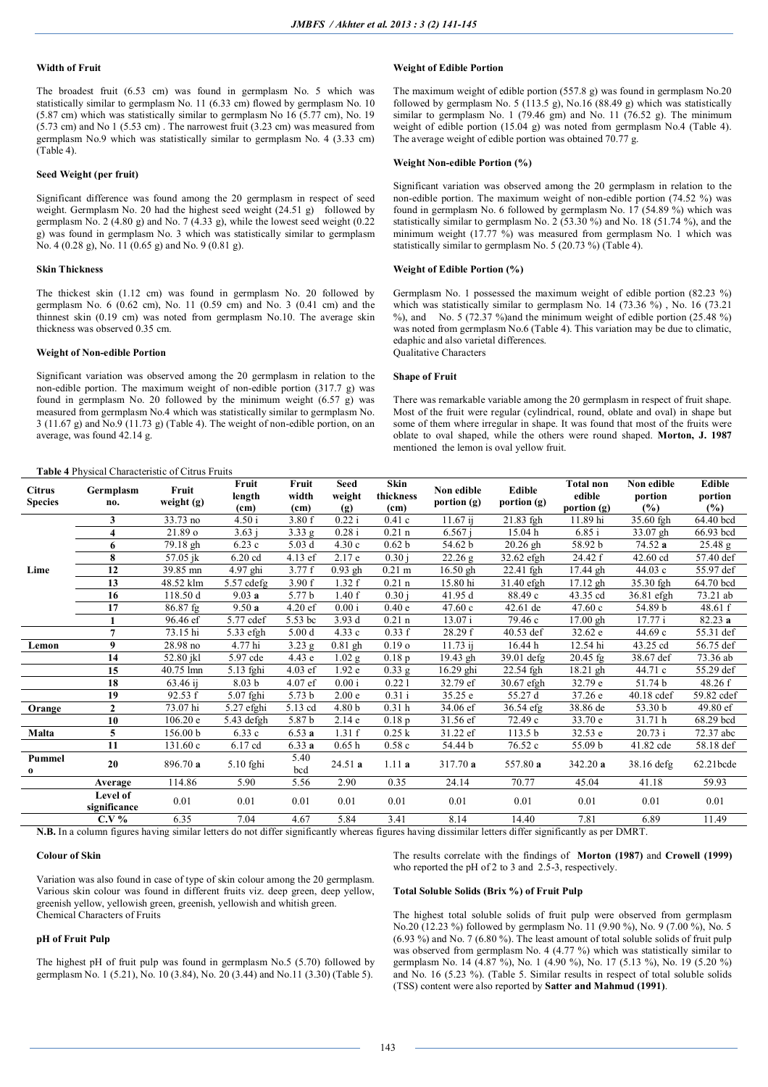### **Width of Fruit**

The broadest fruit (6.53 cm) was found in germplasm No. 5 which was statistically similar to germplasm No. 11 (6.33 cm) flowed by germplasm No. 10 (5.87 cm) which was statistically similar to germplasm No 16 (5.77 cm), No. 19 (5.73 cm) and No 1 (5.53 cm) . The narrowest fruit (3.23 cm) was measured from germplasm No.9 which was statistically similar to germplasm No. 4 (3.33 cm) (Table 4).

### **Seed Weight (per fruit)**

Significant difference was found among the 20 germplasm in respect of seed weight. Germplasm No. 20 had the highest seed weight (24.51 g) followed by germplasm No. 2 (4.80 g) and No. 7 (4.33 g), while the lowest seed weight  $(0.22)$ g) was found in germplasm No. 3 which was statistically similar to germplasm No. 4 (0.28 g), No. 11 (0.65 g) and No. 9 (0.81 g).

### **Skin Thickness**

The thickest skin (1.12 cm) was found in germplasm No. 20 followed by germplasm No. 6 (0.62 cm), No. 11 (0.59 cm) and No. 3 (0.41 cm) and the thinnest skin (0.19 cm) was noted from germplasm No.10. The average skin thickness was observed 0.35 cm.

# **Weight of Non-edible Portion**

**Table 4** Physical Characteristic of Citrus Fruits

Significant variation was observed among the 20 germplasm in relation to the non-edible portion. The maximum weight of non-edible portion (317.7 g) was found in germplasm No. 20 followed by the minimum weight (6.57 g) was measured from germplasm No.4 which was statistically similar to germplasm No. 3 (11.67 g) and No.9 (11.73 g) (Table 4). The weight of non-edible portion, on an average, was found 42.14 g.

### **Weight of Edible Portion**

The maximum weight of edible portion (557.8 g) was found in germplasm No.20 followed by germplasm No. 5 (113.5 g), No.16 (88.49 g) which was statistically similar to germplasm No. 1 (79.46 gm) and No. 11 (76.52 g). The minimum weight of edible portion (15.04 g) was noted from germplasm No.4 (Table 4). The average weight of edible portion was obtained 70.77 g.

### **Weight Non-edible Portion (%)**

Significant variation was observed among the 20 germplasm in relation to the non-edible portion. The maximum weight of non-edible portion (74.52 %) was found in germplasm No. 6 followed by germplasm No. 17 (54.89 %) which was statistically similar to germplasm No. 2 (53.30 %) and No. 18 (51.74 %), and the minimum weight  $(17.77 \%)$  was measured from germplasm No. 1 which was statistically similar to germplasm No. 5 (20.73 %) (Table 4).

# **Weight of Edible Portion (%)**

Germplasm No. 1 possessed the maximum weight of edible portion (82.23 %) which was statistically similar to germplasm No. 14 (73.36  $\frac{6}{9}$ ), No. 16 (73.21) %), and No. 5 (72.37 %) and the minimum weight of edible portion  $(25.48 \%)$ was noted from germplasm No.6 (Table 4). This variation may be due to climatic, edaphic and also varietal differences. Qualitative Characters

### **Shape of Fruit**

There was remarkable variable among the 20 germplasm in respect of fruit shape. Most of the fruit were regular (cylindrical, round, oblate and oval) in shape but some of them where irregular in shape. It was found that most of the fruits were oblate to oval shaped, while the others were round shaped. **Morton, J. 1987** mentioned the lemon is oval yellow fruit.

| <b>Citrus</b><br><b>Species</b> | Germplasm<br>no.         | Fruit<br>weight (g) | Fruit<br>length<br>(c <sub>m</sub> ) | Fruit<br>width<br>(c <sub>m</sub> ) | Seed<br>weight<br>(g) | Skin<br>thickness<br>(c <sub>m</sub> ) | Non edible<br>portion (g) | Edible<br>portion (g) | <b>Total non</b><br>edible<br>portion $(g)$ | Non edible<br>portion<br>$(\%)$ | Edible<br>portion<br>(%) |
|---------------------------------|--------------------------|---------------------|--------------------------------------|-------------------------------------|-----------------------|----------------------------------------|---------------------------|-----------------------|---------------------------------------------|---------------------------------|--------------------------|
|                                 | 3                        | 33.73 no            | 4.50 i                               | 3.80 f                              | 0.22i                 | 0.41c                                  | 11.67 i                   | 21.83 fgh             | 11.89 hi                                    | 35.60 fgh                       | 64.40 bcd                |
|                                 | 4                        | 21.89 o             | 3.63 i                               | 3.33 g                              | 0.28i                 | $0.21$ n                               | 6.567 i                   | 15.04h                | 6.85 i                                      | 33.07 gh                        | 66.93 bcd                |
|                                 | 6                        | 79.18 gh            | 6.23c                                | 5.03d                               | 4.30c                 | 0.62 <sub>b</sub>                      | 54.62 b                   | $20.26$ gh            | 58.92 b                                     | 74.52 a                         | 25.48 g                  |
|                                 | 8                        | 57.05 jk            | 6.20 cd                              | 4.13 ef                             | 2.17e                 | 0.30 i                                 | 22.26 g                   | 32.62 efgh            | 24.42 f                                     | 42.60 cd                        | 57.40 def                |
| Lime                            | 12                       | 39.85 mn            | 4.97 ghi                             | 3.77f                               | $0.93$ gh             | $0.21$ m                               | $16.50$ gh                | 22.41 fgh             | 17.44 gh                                    | 44.03 c                         | 55.97 def                |
|                                 | 13                       | 48.52 klm           | $5.57$ cdefg                         | 3.90 f                              | 1.32 f                | $0.21$ n                               | 15.80 hi                  | 31.40 efgh            | $17.12$ gh                                  | 35.30 fgh                       | 64.70 bcd                |
|                                 | 16                       | 118.50 d            | 9.03a                                | 5.77 b                              | 1.40f                 | 0.30 i                                 | 41.95 d                   | 88.49 c               | 43.35 cd                                    | 36.81 efgh                      | 73.21 ab                 |
|                                 | 17                       | $86.87$ fg          | 9.50a                                | $4.20$ ef                           | 0.00 i                | 0.40e                                  | 47.60c                    | 42.61 de              | 47.60c                                      | 54.89 b                         | 48.61 f                  |
|                                 |                          | 96.46 ef            | 5.77 cdef                            | 5.53 bc                             | 3.93 d                | $0.21$ n                               | 13.07i                    | 79.46 c               | $17.00$ gh                                  | 17.77 i                         | 82.23 a                  |
|                                 | $\overline{7}$           | 73.15 hi            | 5.33 efgh                            | 5.00 <sub>d</sub>                   | 4.33c                 | 0.33 f                                 | 28.29 f                   | 40.53 def             | 32.62 e                                     | 44.69 c                         | 55.31 def                |
| Lemon                           | 9                        | 28.98 no            | 4.77 hi                              | $3.23$ g                            | $0.81$ gh             | 0.19 <sub>o</sub>                      | 11.73 i                   | 16.44h                | 12.54 hi                                    | 43.25 cd                        | 56.75 def                |
|                                 | 14                       | 52.80 jkl           | 5.97 cde                             | 4.43e                               | $1.02$ g              | 0.18p                                  | 19.43 gh                  | 39.01 defg            | $\overline{20.45}$ fg                       | 38.67 def                       | 73.36 ab                 |
|                                 | 15                       | 40.75 lmn           | 5.13 fghi                            | $4.03$ ef                           | 1.92e                 | $0.33$ g                               | $16.29$ ghi               | 22.54 fgh             | $18.21$ gh                                  | 44.71 c                         | 55.29 def                |
|                                 | 18                       | 63.46 ij            | 8.03 <sub>b</sub>                    | 4.07 ef                             | 0.00 i                | 0.221                                  | 32.79 ef                  | 30.67 efgh            | 32.79 e                                     | 51.74 b                         | 48.26 f                  |
|                                 | 19                       | 92.53 f             | 5.07 fghi                            | 5.73 <sub>b</sub>                   | 2.00 <sub>e</sub>     | 0.31 i                                 | 35.25 e                   | 55.27 d               | 37.26 e                                     | 40.18 cdef                      | 59.82 cdef               |
| Orange                          | $\mathbf{2}$             | 73.07 hi            | 5.27 efghi                           | 5.13 cd                             | 4.80 b                | 0.31 <sub>h</sub>                      | 34.06 ef                  | 36.54 efg             | 38.86 de                                    | 53.30 b                         | 49.80 ef                 |
|                                 | 10                       | 106.20 e            | 5.43 defgh                           | 5.87 b                              | 2.14e                 | 0.18p                                  | 31.56 ef                  | 72.49 c               | 33.70 e                                     | 31.71 h                         | 68.29 bcd                |
| Malta                           | 5                        | 156.00 <sub>b</sub> | 6.33c                                | 6.53a                               | 1.31 f                | 0.25 k                                 | 31.22 ef                  | 113.5 <sub>b</sub>    | 32.53 e                                     | 20.73 i                         | 72.37 abc                |
|                                 | 11                       | 131.60 c            | 6.17 cd                              | 6.33a                               | 0.65h                 | 0.58c                                  | 54.44 b                   | 76.52 c               | 55.09 b                                     | 41.82 cde                       | 58.18 def                |
| Pummel                          | 20                       | 896.70 a            | $5.10$ fghi                          | 5.40<br>bcd                         | 24.51a                | 1.11a                                  | 317.70a                   | 557.80 a              | 342.20 a                                    | 38.16 defg                      | 62.21bcde                |
|                                 | Average                  | 114.86              | 5.90                                 | 5.56                                | 2.90                  | 0.35                                   | 24.14                     | 70.77                 | 45.04                                       | 41.18                           | 59.93                    |
|                                 | Level of<br>significance | 0.01                | 0.01                                 | 0.01                                | 0.01                  | 0.01                                   | 0.01                      | 0.01                  | 0.01                                        | 0.01                            | 0.01                     |
|                                 | $C.V.$ %                 | 6.35                | 7.04                                 | 4.67                                | 5.84                  | 3.41                                   | 8.14                      | 14.40                 | 7.81                                        | 6.89                            | 11.49                    |

**N.B.** In a column figures having similar letters do not differ significantly whereas figures having dissimilar letters differ significantly as per DMRT.

### **Colour of Skin**

Variation was also found in case of type of skin colour among the 20 germplasm. Various skin colour was found in different fruits viz. deep green, deep yellow, greenish yellow, yellowish green, greenish, yellowish and whitish green. Chemical Characters of Fruits

# **pH of Fruit Pulp**

The highest pH of fruit pulp was found in germplasm No.5 (5.70) followed by germplasm No. 1 (5.21), No. 10 (3.84), No. 20 (3.44) and No.11 (3.30) (Table 5).

The results correlate with the findings of **Morton (1987)** and **Crowell (1999)** who reported the pH of 2 to 3 and 2.5-3, respectively.

#### **Total Soluble Solids (Brix %) of Fruit Pulp**

The highest total soluble solids of fruit pulp were observed from germplasm No.20 (12.23 %) followed by germplasm No. 11 (9.90 %), No. 9 (7.00 %), No. 5 (6.93 %) and No. 7 (6.80 %). The least amount of total soluble solids of fruit pulp was observed from germplasm No. 4 (4.77 %) which was statistically similar to germplasm No. 14 (4.87 %), No. 1 (4.90 %), No. 17 (5.13 %), No. 19 (5.20 %) and No. 16 (5.23 %). (Table 5. Similar results in respect of total soluble solids (TSS) content were also reported by **Satter and Mahmud (1991)**.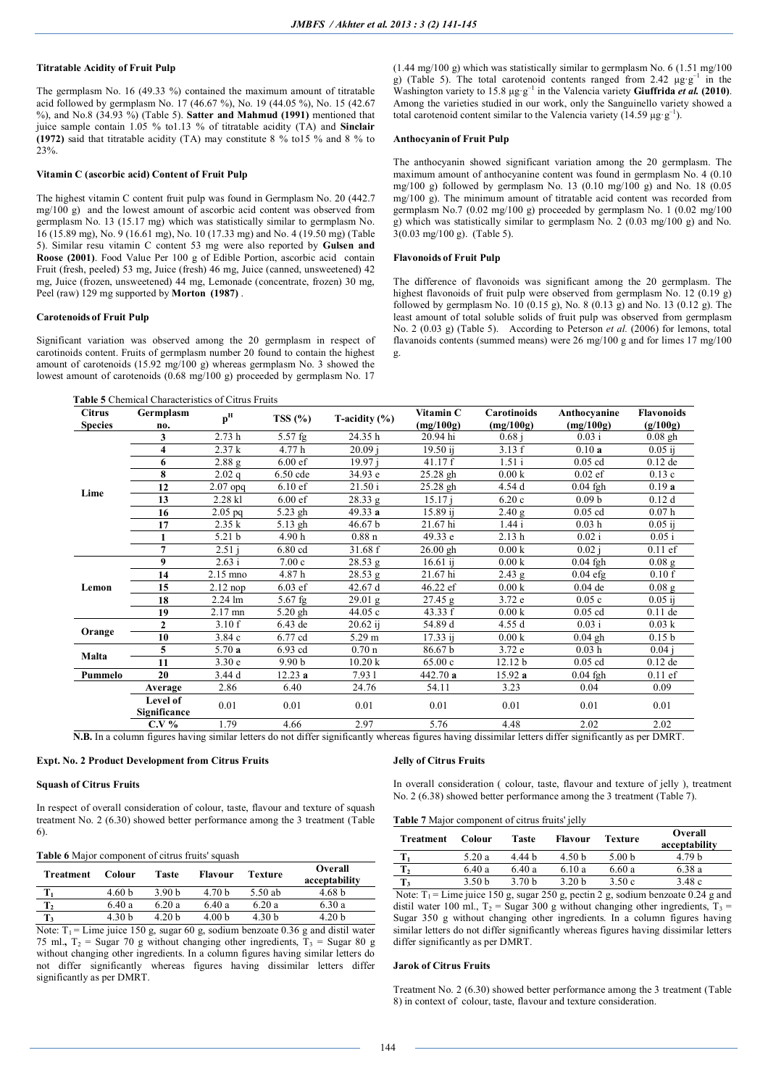### **Titratable Acidity of Fruit Pulp**

The germplasm No. 16 (49.33 %) contained the maximum amount of titratable acid followed by germplasm No. 17 (46.67 %), No. 19 (44.05 %), No. 15 (42.67 %), and No.8 (34.93 %) (Table 5). **Satter and Mahmud (1991)** mentioned that juice sample contain 1.05 % to1.13 % of titratable acidity (TA) and **Sinclair (1972)** said that titratable acidity (TA) may constitute 8 % to15 % and 8 % to 23%.

# **Vitamin C (ascorbic acid) Content of Fruit Pulp**

The highest vitamin C content fruit pulp was found in Germplasm No. 20 (442.7 mg/100 g) and the lowest amount of ascorbic acid content was observed from germplasm No. 13 (15.17 mg) which was statistically similar to germplasm No. 16 (15.89 mg), No. 9 (16.61 mg), No. 10 (17.33 mg) and No. 4 (19.50 mg) (Table 5). Similar resu vitamin C content 53 mg were also reported by **Gulsen and Roose (2001)**. Food Value Per 100 g of Edible Portion, ascorbic acid contain Fruit (fresh, peeled) 53 mg, Juice (fresh) 46 mg, Juice (canned, unsweetened) 42 mg, Juice (frozen, unsweetened) 44 mg, Lemonade (concentrate, frozen) 30 mg, Peel (raw) 129 mg supported by **Morton (1987)** .

# **Carotenoids of Fruit Pulp**

Significant variation was observed among the 20 germplasm in respect of carotinoids content. Fruits of germplasm number 20 found to contain the highest amount of carotenoids (15.92 mg/100 g) whereas germplasm No. 3 showed the lowest amount of carotenoids (0.68 mg/100 g) proceeded by germplasm No. 17

**Table 5** Chemical Characteristics of Citrus Fruits

 $(1.44 \text{ mg}/100 \text{ g})$  which was statistically similar to germplasm No. 6 (1.51 mg/100) g) (Table 5). The total carotenoid contents ranged from 2.42  $\mu$ g·g<sup>-1</sup> in the Washington variety to 15.8  $\mu$ g·g<sup>-1</sup> in the Valencia variety **Giuffrida** *et al.* **(2010)**. Among the varieties studied in our work, only the Sanguinello variety showed a total carotenoid content similar to the Valencia variety (14.59 μg·g<sup>-1</sup>).

# **Anthocyanin of Fruit Pulp**

The anthocyanin showed significant variation among the 20 germplasm. The maximum amount of anthocyanine content was found in germplasm No. 4 (0.10 mg/100 g) followed by germplasm No. 13 (0.10 mg/100 g) and No. 18 (0.05 mg/100 g). The minimum amount of titratable acid content was recorded from germplasm No.7 (0.02 mg/100 g) proceeded by germplasm No. 1 (0.02 mg/100 g) which was statistically similar to germplasm No. 2 (0.03 mg/100 g) and No. 3(0.03 mg/100 g). (Table 5).

# **Flavonoids of Fruit Pulp**

The difference of flavonoids was significant among the 20 germplasm. The highest flavonoids of fruit pulp were observed from germplasm No. 12 (0.19 g) followed by germplasm No.  $10 (0.15 g)$ , No. 8  $(0.13 g)$  and No. 13  $(0.12 g)$ . The least amount of total soluble solids of fruit pulp was observed from germplasm No. 2 (0.03 g) (Table 5). According to Peterson *et al.* (2006) for lemons, total flavanoids contents (summed means) were 26 mg/100 g and for limes 17 mg/100 g.

| <b>Citrus</b>  | Germplasm                | p <sup>H</sup>    | TSS $(\% )$          | T-acidity $(\% )$    | Vitamin C  | Carotinoids | Anthocyanine      | <b>Flavonoids</b> |
|----------------|--------------------------|-------------------|----------------------|----------------------|------------|-------------|-------------------|-------------------|
| <b>Species</b> | no.                      |                   |                      |                      | (mg/100g)  | (mg/100g)   | (mg/100g)         | (g/100g)          |
|                | 3                        | 2.73h             | $5.57$ fg            | 24.35h               | 20.94 hi   | 0.68 i      | $0.03$ i          | $0.08$ gh         |
|                | 4                        | 2.37k             | 4.77 h               | 20.09 i              | 19.50 ij   | 3.13 f      | 0.10a             | $0.05$ ij         |
|                | 6                        | 2.88 <sub>g</sub> | $6.00$ ef            | 19.97 i              | 41.17 f    | 1.51i       | $0.05$ cd         | $0.12$ de         |
|                | 8                        | 2.02q             | 6.50 cde             | 34.93 e              | $25.28$ gh | 0.00 k      | $0.02$ ef         | 0.13c             |
| Lime           | 12                       | $2.07$ opq        | $6.10 \text{ e}$ f   | 21.50 i              | $25.28$ gh | 4.54 d      | $0.04$ fgh        | 0.19a             |
|                | 13                       | 2.28 kl           | $6.00 \text{ ef}$    | 28.33 g              | 15.17 i    | 6.20c       | 0.09 <sub>b</sub> | 0.12d             |
|                | 16                       | $2.05$ pq         | $\overline{5.2}3$ gh | 49.33 a              | 15.89 ij   | 2.40 g      | $0.05$ cd         | 0.07h             |
|                | 17                       | 2.35 k            | 5.13 gh              | 46.67 b              | 21.67 hi   | 1.44i       | 0.03h             | $0.05$ ij         |
|                |                          | 5.21 b            | 4.90h                | 0.88 <sub>n</sub>    | 49.33 e    | 2.13h       | 0.02 i            | 0.05 i            |
|                | 7                        | 2.51i             | 6.80 cd              | 31.68 f              | $26.00$ gh | 0.00 k      | 0.02 i            | $0.11$ ef         |
|                | 9                        | 2.63 i            | 7.00c                | 28.53 g              | $16.61$ ij | 0.00 k      | $0.04$ fgh        | $0.08$ g          |
|                | 14                       | 2.15 mno          | 4.87h                | $\overline{28.53}$ g | 21.67 hi   | $2.43$ g    | $0.04$ efg        | 0.10 f            |
| Lemon          | 15                       | $2.12$ nop        | $6.03$ ef            | 42.67 d              | 46.22 ef   | 0.00 k      | $0.04$ de         | 0.08 <sub>g</sub> |
|                | 18                       | 2.24 lm           | $5.67$ fg            | 29.01 g              | 27.45 g    | 3.72 e      | 0.05c             | $0.05$ ij         |
|                | 19                       | 2.17 mn           | $5.20$ gh            | 44.05 c              | 43.33 f    | 0.00 k      | $0.05$ cd         | $0.11$ de         |
|                | $\overline{2}$           | 3.10 f            | 6.43 de              | $20.62$ ij           | 54.89 d    | 4.55 d      | 0.03 i            | 0.03 k            |
| Orange         | 10                       | 3.84 c            | 6.77 cd              | 5.29 m               | 17.33 i    | 0.00 k      | $0.04$ gh         | 0.15 <sub>b</sub> |
| Malta          | 5                        | 5.70a             | 6.93 cd              | 0.70 <sub>n</sub>    | 86.67b     | 3.72 e      | 0.03h             | $0.04$ i          |
|                | 11                       | 3.30e             | 9.90 <sub>b</sub>    | 10.20 k              | 65.00c     | 12.12 b     | $0.05$ cd         | $0.12$ de         |
| Pummelo        | 20                       | 3.44 d            | 12.23a               | 7.931                | 442.70 a   | 15.92a      | $0.04$ fgh        | $0.11$ ef         |
|                | Average                  | 2.86              | 6.40                 | 24.76                | 54.11      | 3.23        | 0.04              | 0.09              |
|                | Level of<br>Significance | 0.01              | 0.01                 | 0.01                 | 0.01       | 0.01        | 0.01              | 0.01              |
|                | $C.V.$ %                 | 1.79              | 4.66                 | 2.97                 | 5.76       | 4.48        | 2.02              | 2.02              |

**N.B.** In a column figures having similar letters do not differ significantly whereas figures having dissimilar letters differ significantly as per DMRT.

# **Expt. No. 2 Product Development from Citrus Fruits**

# **Squash of Citrus Fruits**

In respect of overall consideration of colour, taste, flavour and texture of squash treatment No. 2 (6.30) showed better performance among the 3 treatment (Table 6).

## **Table 6** Major component of citrus fruits' squash

| <b>Treatment</b>                           | Colour            | Taste             | <b>Flavour</b>    | Texture | Overall<br>acceptability |
|--------------------------------------------|-------------------|-------------------|-------------------|---------|--------------------------|
|                                            | 4.60 <sub>b</sub> | 3.90 <sub>b</sub> | 4.70 <sub>b</sub> | 5.50 ab | 4.68 b                   |
| T <sub>2</sub>                             | 6.40 a            | 6.20a             | 6.40a             | 6.20a   | 6.30 a                   |
| T,                                         | 4.30 h            | 4.20 h            | 4.00 <sub>b</sub> | 4.30 b  | 4.20 b                   |
| __<br>___<br><b>STATES OF ALL AND REAL</b> | .<br>.            |                   | .<br>$ -$         | .       | .                        |

Note:  $T_1$  = Lime juice 150 g, sugar 60 g, sodium benzoate 0.36 g and distil water 75 ml.,  $T_2$  = Sugar 70 g without changing other ingredients,  $T_3$  = Sugar 80 g without changing other ingredients. In a column figures having similar letters do not differ significantly whereas figures having dissimilar letters differ significantly as per DMRT.

#### **Jelly of Citrus Fruits**

In overall consideration ( colour, taste, flavour and texture of jelly ), treatment No. 2 (6.38) showed better performance among the 3 treatment (Table 7).

**Table 7** Major component of citrus fruits' jelly

| Treatment | Colour | Taste  | Flavour           | Texture           | Overall<br>acceptability                                                                                |
|-----------|--------|--------|-------------------|-------------------|---------------------------------------------------------------------------------------------------------|
| т,        | 5.20 a | 444 h  | 4.50 <sub>b</sub> | 5.00 <sub>b</sub> | 4.79 h                                                                                                  |
| $T_2$     | 6.40a  | 6.40 a | 6.10 a            | 6.60a             | 6.38 a                                                                                                  |
| T,        | 3.50 h | 3.70 h | 3.20 <sub>b</sub> | 3.50 c            | 3.48c                                                                                                   |
|           |        |        |                   |                   | Note: $T = I$ imaging 150 $\alpha$ guar 250 $\alpha$ notin 2 $\alpha$ sadium hanzonta 0.24 $\alpha$ and |

Note:  $T_1$  = Lime juice 150 g, sugar 250 g, pectin 2 g, sodium benzoate 0.24 g and distil water 100 ml.,  $T_2$  = Sugar 300 g without changing other ingredients,  $T_3$  = Sugar 350 g without changing other ingredients. In a column figures having similar letters do not differ significantly whereas figures having dissimilar letters differ significantly as per DMRT.

### **Jarok of Citrus Fruits**

Treatment No. 2 (6.30) showed better performance among the 3 treatment (Table 8) in context of colour, taste, flavour and texture consideration.